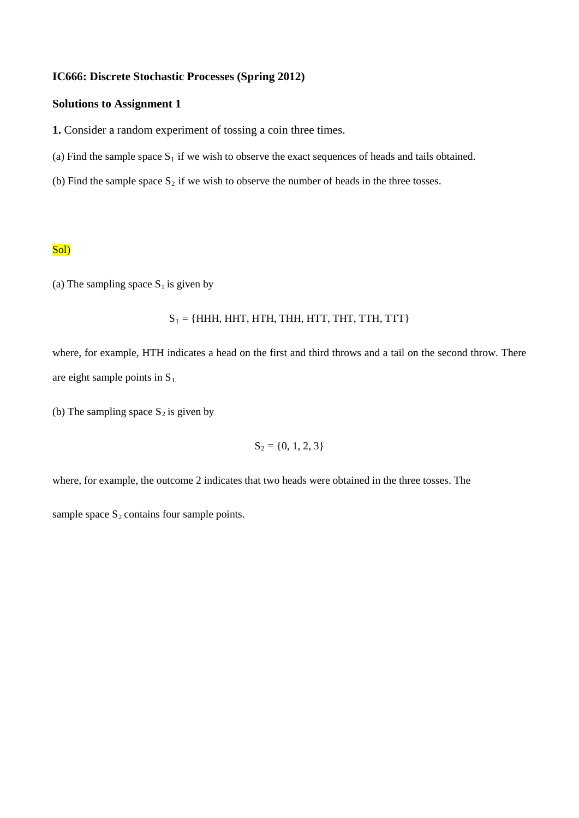### **IC666: Discrete Stochastic Processes (Spring 2012)**

## **Solutions to Assignment 1**

**1.** Consider a random experiment of tossing a coin three times.

- (a) Find the sample space  $S_1$  if we wish to observe the exact sequences of heads and tails obtained.
- (b) Find the sample space  $S_2$  if we wish to observe the number of heads in the three tosses.

### Sol)

(a) The sampling space  $S_1$  is given by

$$
S_1 = \{HHH, HHT, HTH, THH, HTT, THT, TTH, TTT\}
$$

where, for example, HTH indicates a head on the first and third throws and a tail on the second throw. There are eight sample points in  $S_1$ .

(b) The sampling space  $S_2$  is given by

$$
S_2 = \{0, 1, 2, 3\}
$$

where, for example, the outcome 2 indicates that two heads were obtained in the three tosses. The

sample space  $S_2$  contains four sample points.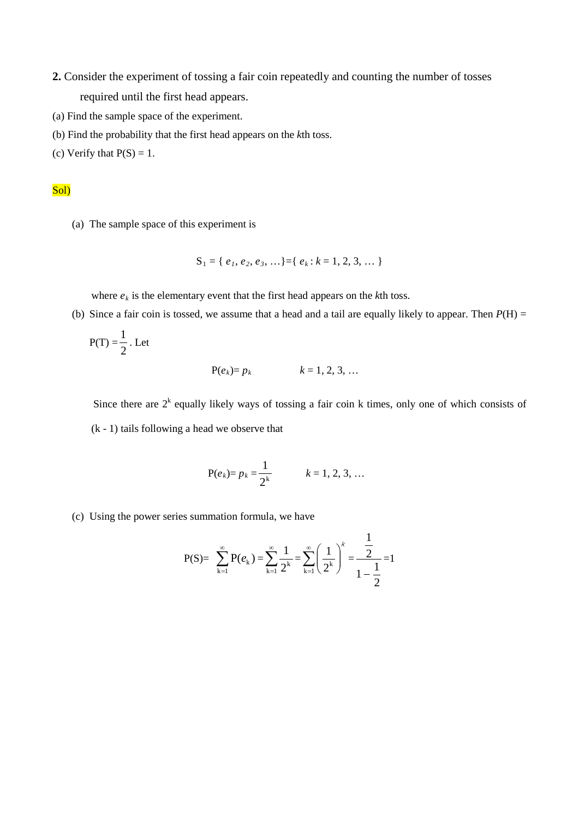- **2.** Consider the experiment of tossing a fair coin repeatedly and counting the number of tosses required until the first head appears.
- (a) Find the sample space of the experiment.
- (b) Find the probability that the first head appears on the *k*th toss.
- (c) Verify that  $P(S) = 1$ .

# Sol)

(a) The sample space of this experiment is

$$
S_1 = \{ e_1, e_2, e_3, \ldots \} = \{ e_k : k = 1, 2, 3, \ldots \}
$$

where  $e_k$  is the elementary event that the first head appears on the  $k$ th toss.

(b) Since a fair coin is tossed, we assume that a head and a tail are equally likely to appear. Then  $P(H)$  =

$$
P(T) = \frac{1}{2}.
$$
 Let  

$$
P(e_k) = p_k \qquad k = 1, 2, 3, ...
$$

Since there are  $2^k$  equally likely ways of tossing a fair coin k times, only one of which consists of (k - 1) tails following a head we observe that

$$
P(e_k) = p_k = \frac{1}{2^k} \qquad k = 1, 2, 3, ...
$$

(c) Using the power series summation formula, we have

$$
P(S) = \sum_{k=1}^{\infty} P(e_k) = \sum_{k=1}^{\infty} \frac{1}{2^k} = \sum_{k=1}^{\infty} \left(\frac{1}{2^k}\right)^k = \frac{\frac{1}{2}}{1 - \frac{1}{2}} = 1
$$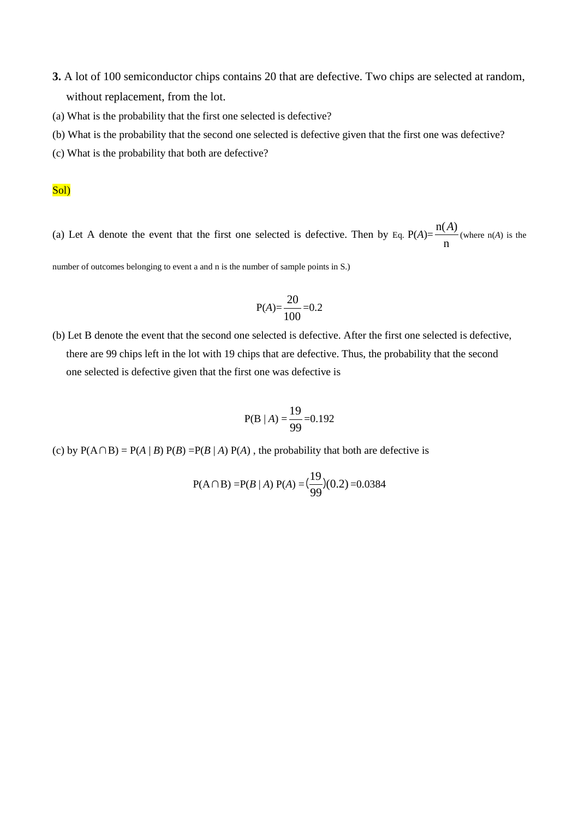- **3.** A lot of 100 semiconductor chips contains 20 that are defective. Two chips are selected at random, without replacement, from the lot.
- (a) What is the probability that the first one selected is defective?
- (b) What is the probability that the second one selected is defective given that the first one was defective?
- (c) What is the probability that both are defective?

## Sol)

(a) Let A denote the event that the first one selected is defective. Then by Eq.  $P(A) = \frac{P(A)}{n}$  $\frac{n(A)}{(A)}$  (where  $n(A)$  is the

number of outcomes belonging to event a and n is the number of sample points in S.)

$$
P(A) = \frac{20}{100} = 0.2
$$

(b) Let B denote the event that the second one selected is defective. After the first one selected is defective, there are 99 chips left in the lot with 19 chips that are defective. Thus, the probability that the second one selected is defective given that the first one was defective is

$$
P(B | A) = \frac{19}{99} = 0.192
$$

(c) by  $P(A \cap B) = P(A | B) P(B) = P(B | A) P(A)$ , the probability that both are defective is

$$
P(A \cap B) = P(B \mid A) P(A) = (\frac{19}{99})(0.2) = 0.0384
$$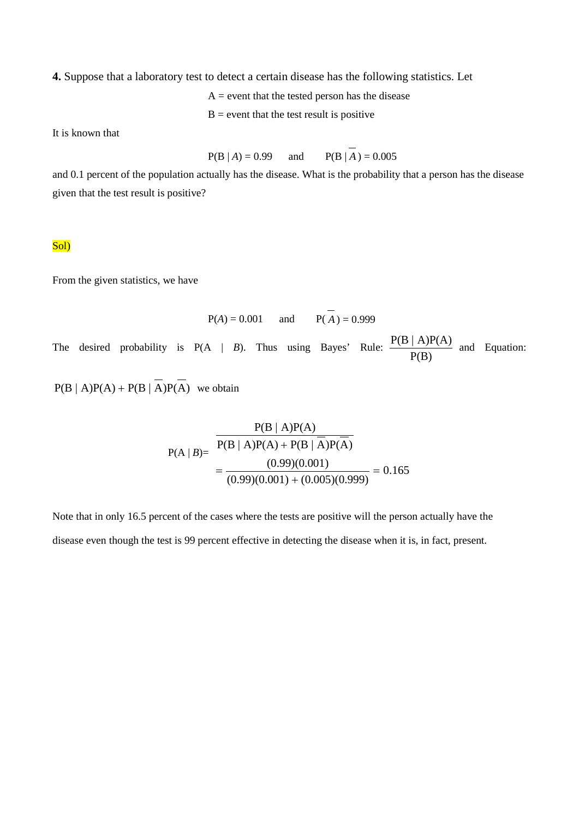**4.** Suppose that a laboratory test to detect a certain disease has the following statistics. Let

 $A =$  event that the tested person has the disease

 $B =$  event that the test result is positive

It is known that

$$
P(B | A) = 0.99
$$
 and  $P(B | A) = 0.005$ 

and 0.1 percent of the population actually has the disease. What is the probability that a person has the disease given that the test result is positive?

#### Sol)

From the given statistics, we have

$$
P(A) = 0.001 \text{ and } P(\overline{A}) = 0.999
$$
  
The desired probability is  $P(A | B)$ . Thus using Bayes' Rule:  $\frac{P(B | A)P(A)}{P(B)}$  and Equation:  
 $P(B | A)P(A) + P(B | \overline{A})P(\overline{A})$  we obtain

$$
P(A | B) = \frac{P(B | A)P(A)}{P(B | A)P(A) + P(B | A)P(A)}
$$
  
= 
$$
\frac{(0.99)(0.001)}{(0.99)(0.001) + (0.005)(0.999)} = 0.165
$$

Note that in only 16.5 percent of the cases where the tests are positive will the person actually have the disease even though the test is 99 percent effective in detecting the disease when it is, in fact, present.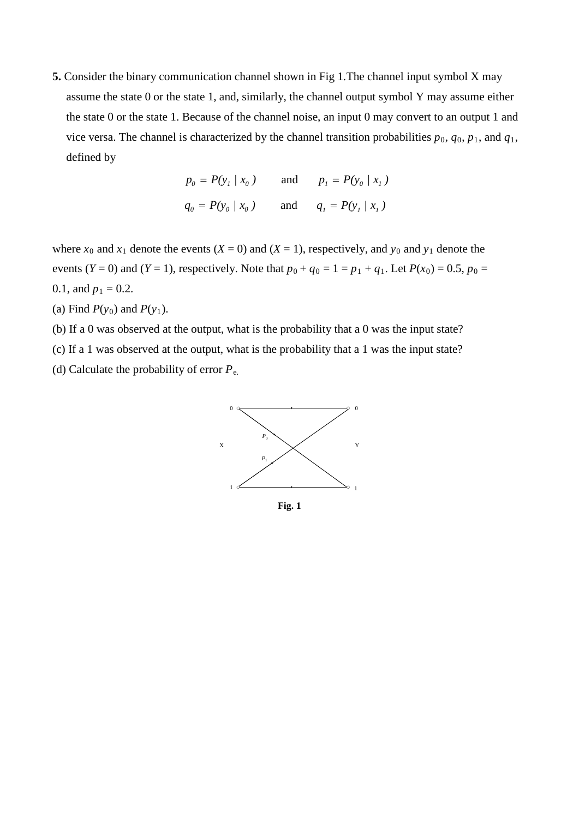**5.** Consider the binary communication channel shown in Fig 1.The channel input symbol X may assume the state 0 or the state 1, and, similarly, the channel output symbol Y may assume either the state 0 or the state 1. Because of the channel noise, an input 0 may convert to an output 1 and vice versa. The channel is characterized by the channel transition probabilities  $p_0$ ,  $q_0$ ,  $p_1$ , and  $q_1$ , defined by

$$
p_0 = P(y_1 | x_0)
$$
 and  $p_1 = P(y_0 | x_1)$   
 $q_0 = P(y_0 | x_0)$  and  $q_1 = P(y_1 | x_1)$ 

where  $x_0$  and  $x_1$  denote the events  $(X = 0)$  and  $(X = 1)$ , respectively, and  $y_0$  and  $y_1$  denote the events (*Y* = 0) and (*Y* = 1), respectively. Note that  $p_0 + q_0 = 1 = p_1 + q_1$ . Let  $P(x_0) = 0.5$ ,  $p_0 = 0.5$ 0.1, and  $p_1 = 0.2$ .

- (a) Find  $P(y_0)$  and  $P(y_1)$ .
- (b) If a 0 was observed at the output, what is the probability that a 0 was the input state?
- (c) If a 1 was observed at the output, what is the probability that a 1 was the input state?
- (d) Calculate the probability of error *P*e.



**Fig. 1**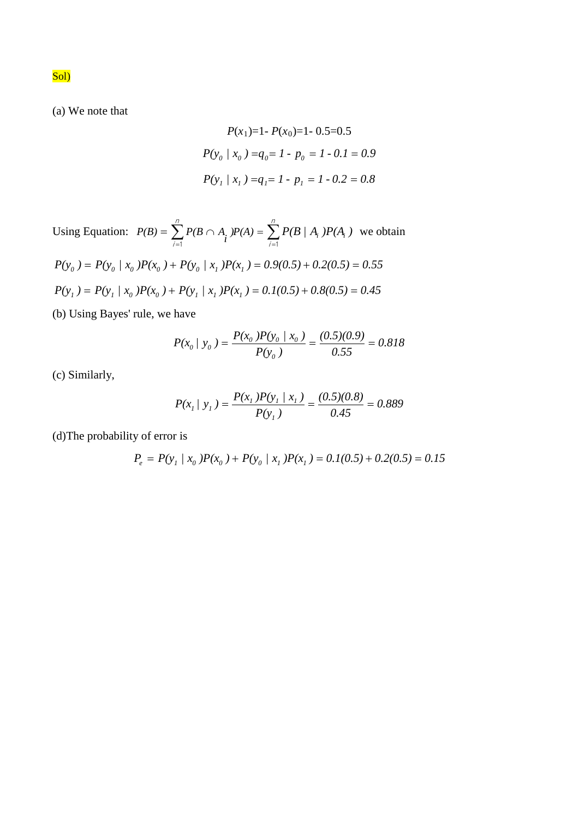(a) We note that

$$
P(x_1)=1 - P(x_0) = 1 - 0.5 = 0.5
$$
  

$$
P(y_0 \mid x_0) = q_0 = 1 - p_0 = 1 - 0.1 = 0.9
$$
  

$$
P(y_1 \mid x_1) = q_1 = 1 - p_1 = 1 - 0.2 = 0.8
$$

Using Equation:  $P(B) = \sum_{i=1}^{n} P(B \cap A_i) P(A) = \sum_{i=1}^{n} P(A) P(A)$ i n  $i = 1$   $i = 1$  $P(B) = \sum_{i=1}^{n} P(B \cap A_i) P(A) = \sum_{i=1}^{n} P(B \mid A_i) P(A_i)$  we obtain  $P(y_0) = P(y_0 | x_0)P(x_0) + P(y_0 | x_1)P(x_1) = 0.9(0.5) + 0.2(0.5) = 0.55$  $P(y_1) = P(y_1 | x_0)P(x_0) + P(y_1 | x_1)P(x_1) = 0.1(0.5) + 0.8(0.5) = 0.45$ 

(b) Using Bayes' rule, we have

$$
P(x_0 / y_0) = \frac{P(x_0)P(y_0 / x_0)}{P(y_0)} = \frac{(0.5)(0.9)}{0.55} = 0.818
$$

(c) Similarly,

$$
P(x_1 / y_1) = \frac{P(x_1)P(y_1 / x_1)}{P(y_1)} = \frac{(0.5)(0.8)}{0.45} = 0.889
$$

(d)The probability of error is

$$
P_e = P(y_1 \mid x_0)P(x_0) + P(y_0 \mid x_1)P(x_1) = 0.1(0.5) + 0.2(0.5) = 0.15
$$

Sol)